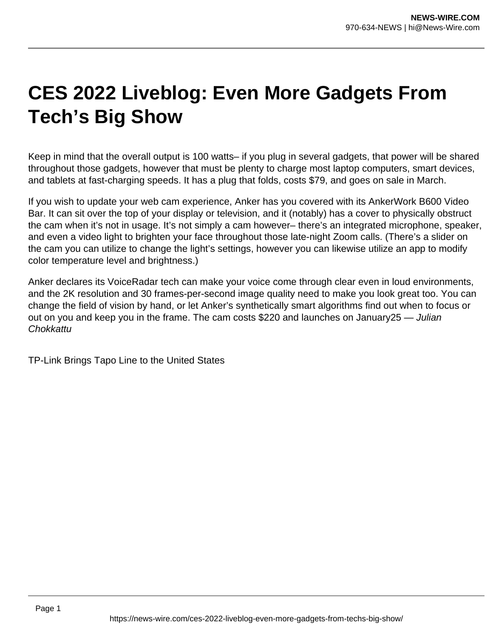## **CES 2022 Liveblog: Even More Gadgets From Tech's Big Show**

Keep in mind that the overall output is 100 watts– if you plug in several gadgets, that power will be shared throughout those gadgets, however that must be plenty to charge most laptop computers, smart devices, and tablets at fast-charging speeds. It has a plug that folds, costs \$79, and goes on sale in March.

If you wish to update your web cam experience, Anker has you covered with its AnkerWork B600 Video Bar. It can sit over the top of your display or television, and it (notably) has a cover to physically obstruct the cam when it's not in usage. It's not simply a cam however– there's an integrated microphone, speaker, and even a video light to brighten your face throughout those late-night Zoom calls. (There's a slider on the cam you can utilize to change the light's settings, however you can likewise utilize an app to modify color temperature level and brightness.)

Anker declares its VoiceRadar tech can make your voice come through clear even in loud environments, and the 2K resolution and 30 frames-per-second image quality need to make you look great too. You can change the field of vision by hand, or let Anker's synthetically smart algorithms find out when to focus or out on you and keep you in the frame. The cam costs \$220 and launches on January25 — Julian Chokkattu

TP-Link Brings Tapo Line to the United States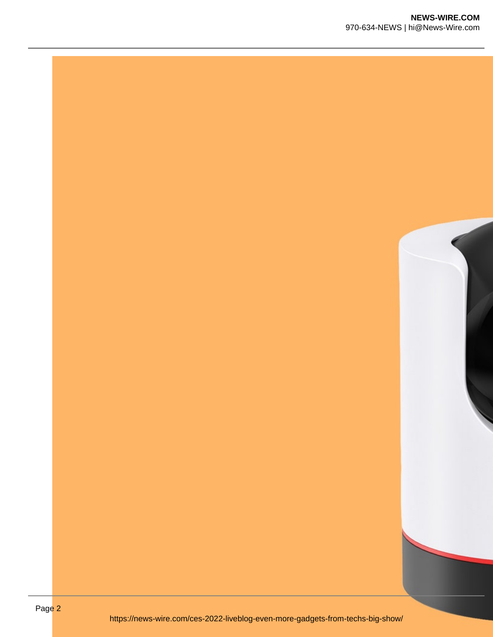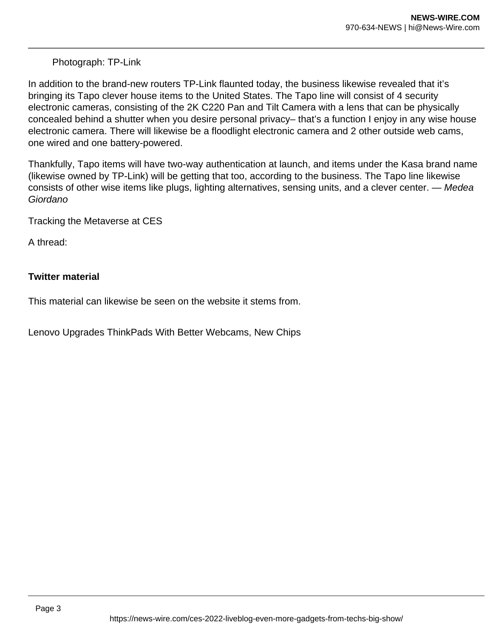## Photograph: TP-Link

In addition to the brand-new routers TP-Link flaunted today, the business likewise revealed that it's bringing its Tapo clever house items to the United States. The Tapo line will consist of 4 security electronic cameras, consisting of the 2K C220 Pan and Tilt Camera with a lens that can be physically concealed behind a shutter when you desire personal privacy– that's a function I enjoy in any wise house electronic camera. There will likewise be a floodlight electronic camera and 2 other outside web cams, one wired and one battery-powered.

Thankfully, Tapo items will have two-way authentication at launch, and items under the Kasa brand name (likewise owned by TP-Link) will be getting that too, according to the business. The Tapo line likewise consists of other wise items like plugs, lighting alternatives, sensing units, and a clever center. — Medea Giordano

Tracking the Metaverse at CES

A thread:

## **Twitter material**

This material can likewise be seen on the website it stems from.

Lenovo Upgrades ThinkPads With Better Webcams, New Chips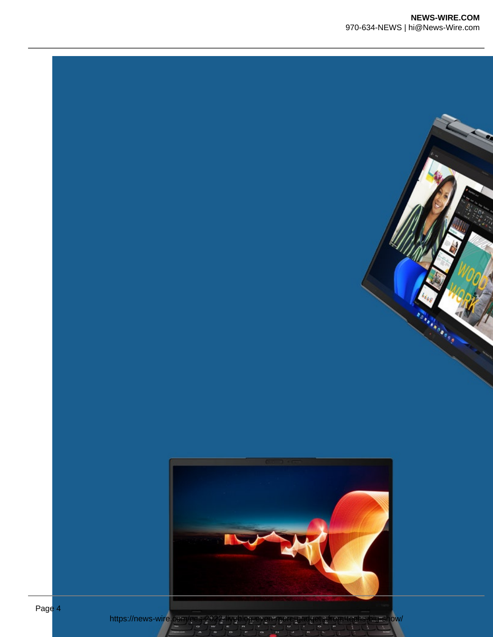**Chichecorp** 

 $\overline{\mathcal{L}}$ 



https://news-wire.com/ces-2022-liveblog-even-more-gadgets-from-techs-big-show/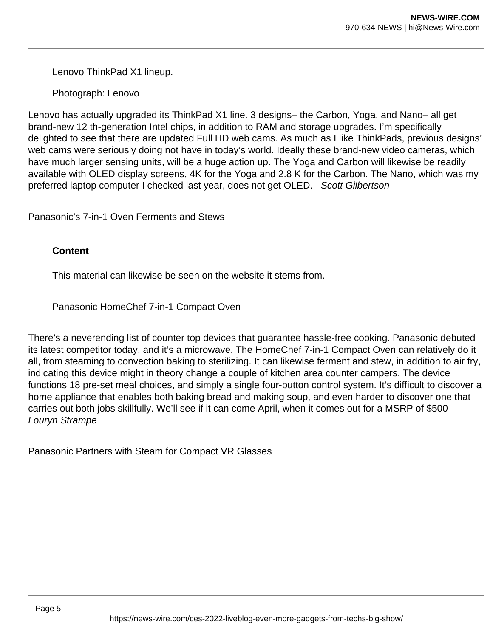Lenovo ThinkPad X1 lineup.

Photograph: Lenovo

Lenovo has actually upgraded its ThinkPad X1 line. 3 designs– the Carbon, Yoga, and Nano– all get brand-new 12 th-generation Intel chips, in addition to RAM and storage upgrades. I'm specifically delighted to see that there are updated Full HD web cams. As much as I like ThinkPads, previous designs' web cams were seriously doing not have in today's world. Ideally these brand-new video cameras, which have much larger sensing units, will be a huge action up. The Yoga and Carbon will likewise be readily available with OLED display screens, 4K for the Yoga and 2.8 K for the Carbon. The Nano, which was my preferred laptop computer I checked last year, does not get OLED.– Scott Gilbertson

Panasonic's 7-in-1 Oven Ferments and Stews

## **Content**

This material can likewise be seen on the website it stems from.

Panasonic HomeChef 7-in-1 Compact Oven

There's a neverending list of counter top devices that guarantee hassle-free cooking. Panasonic debuted its latest competitor today, and it's a microwave. The HomeChef 7-in-1 Compact Oven can relatively do it all, from steaming to convection baking to sterilizing. It can likewise ferment and stew, in addition to air fry, indicating this device might in theory change a couple of kitchen area counter campers. The device functions 18 pre-set meal choices, and simply a single four-button control system. It's difficult to discover a home appliance that enables both baking bread and making soup, and even harder to discover one that carries out both jobs skillfully. We'll see if it can come April, when it comes out for a MSRP of \$500– Louryn Strampe

Panasonic Partners with Steam for Compact VR Glasses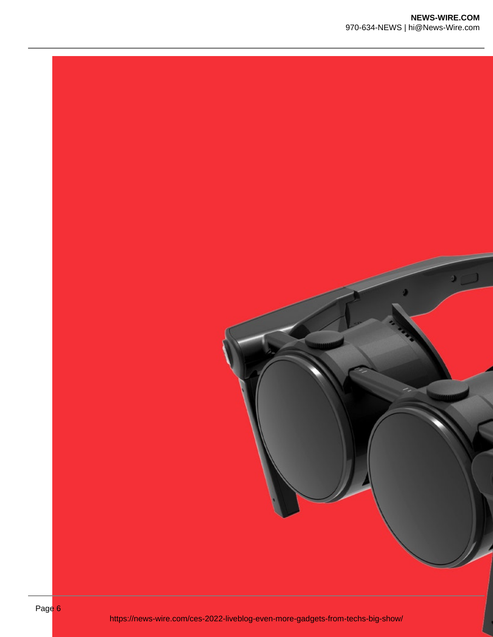